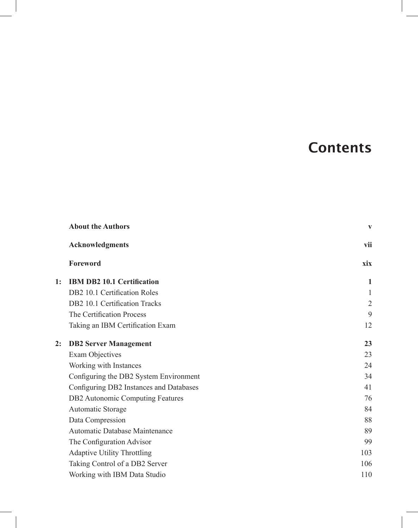# **Contents**

|    | <b>About the Authors</b>                | $\mathbf{V}$   |
|----|-----------------------------------------|----------------|
|    | <b>Acknowledgments</b>                  | vii            |
|    | Foreword                                | xix            |
| 1: | <b>IBM DB2 10.1 Certification</b>       | 1              |
|    | DB2 10.1 Certification Roles            | 1              |
|    | DB2 10.1 Certification Tracks           | $\mathfrak{2}$ |
|    | The Certification Process               | 9              |
|    | Taking an IBM Certification Exam        | 12             |
| 2: | <b>DB2 Server Management</b>            | 23             |
|    | Exam Objectives                         | 23             |
|    | Working with Instances                  | 24             |
|    | Configuring the DB2 System Environment  | 34             |
|    | Configuring DB2 Instances and Databases | 41             |
|    | DB2 Autonomic Computing Features        | 76             |
|    | Automatic Storage                       | 84             |
|    | Data Compression                        | 88             |
|    | Automatic Database Maintenance          | 89             |
|    | The Configuration Advisor               | 99             |
|    | <b>Adaptive Utility Throttling</b>      | 103            |
|    | Taking Control of a DB2 Server          | 106            |
|    | Working with IBM Data Studio            | 110            |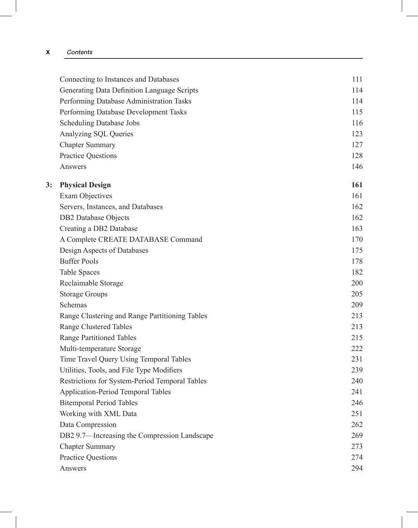#### x Contents

|    | Connecting to Instances and Databases          | 111 |
|----|------------------------------------------------|-----|
|    | Generating Data Definition Language Scripts    | 114 |
|    | Performing Database Administration Tasks       | 114 |
|    | Performing Database Development Tasks          | 115 |
|    | <b>Scheduling Database Jobs</b>                | 116 |
|    | Analyzing SQL Queries                          | 123 |
|    | <b>Chapter Summary</b>                         | 127 |
|    | <b>Practice Questions</b>                      | 128 |
|    | Answers                                        | 146 |
| 3: | <b>Physical Design</b>                         | 161 |
|    | <b>Exam Objectives</b>                         | 161 |
|    | Servers, Instances, and Databases              | 162 |
|    | <b>DB2</b> Database Objects                    | 162 |
|    | Creating a DB2 Database                        | 163 |
|    | A Complete CREATE DATABASE Command             | 170 |
|    | Design Aspects of Databases                    | 175 |
|    | <b>Buffer Pools</b>                            | 178 |
|    | <b>Table Spaces</b>                            | 182 |
|    | Reclaimable Storage                            | 200 |
|    | <b>Storage Groups</b>                          | 205 |
|    | Schemas                                        | 209 |
|    | Range Clustering and Range Partitioning Tables | 213 |
|    | <b>Range Clustered Tables</b>                  | 213 |
|    | <b>Range Partitioned Tables</b>                | 215 |
|    | Multi-temperature Storage                      | 222 |
|    | Time Travel Query Using Temporal Tables        | 231 |
|    | Utilities, Tools, and File Type Modifiers      | 239 |
|    | Restrictions for System-Period Temporal Tables | 240 |
|    | Application-Period Temporal Tables             | 241 |
|    | <b>Bitemporal Period Tables</b>                | 246 |
|    | Working with XML Data                          | 251 |
|    | Data Compression                               | 262 |
|    | DB2 9.7-Increasing the Compression Landscape   | 269 |
|    | <b>Chapter Summary</b>                         | 273 |
|    | <b>Practice Questions</b>                      | 274 |
|    | Answers                                        | 294 |
|    |                                                |     |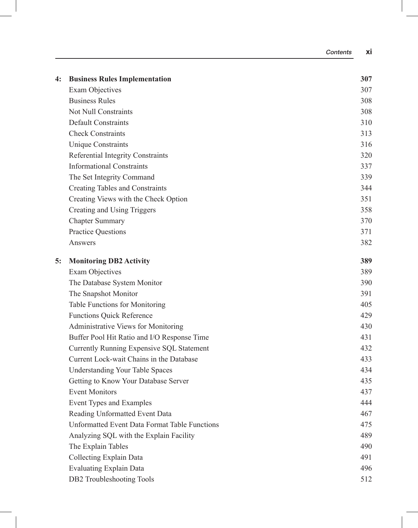| 4: | <b>Business Rules Implementation</b>                 | 307 |
|----|------------------------------------------------------|-----|
|    | <b>Exam Objectives</b>                               | 307 |
|    | <b>Business Rules</b>                                | 308 |
|    | <b>Not Null Constraints</b>                          | 308 |
|    | <b>Default Constraints</b>                           | 310 |
|    | <b>Check Constraints</b>                             | 313 |
|    | <b>Unique Constraints</b>                            | 316 |
|    | Referential Integrity Constraints                    | 320 |
|    | <b>Informational Constraints</b>                     | 337 |
|    | The Set Integrity Command                            | 339 |
|    | Creating Tables and Constraints                      | 344 |
|    | Creating Views with the Check Option                 | 351 |
|    | Creating and Using Triggers                          | 358 |
|    | <b>Chapter Summary</b>                               | 370 |
|    | <b>Practice Questions</b>                            | 371 |
|    | Answers                                              | 382 |
| 5: | <b>Monitoring DB2 Activity</b>                       | 389 |
|    | <b>Exam Objectives</b>                               | 389 |
|    | The Database System Monitor                          | 390 |
|    | The Snapshot Monitor                                 | 391 |
|    | Table Functions for Monitoring                       | 405 |
|    | <b>Functions Quick Reference</b>                     | 429 |
|    | Administrative Views for Monitoring                  | 430 |
|    | Buffer Pool Hit Ratio and I/O Response Time          | 431 |
|    | Currently Running Expensive SQL Statement            | 432 |
|    | Current Lock-wait Chains in the Database             | 433 |
|    | <b>Understanding Your Table Spaces</b>               | 434 |
|    | Getting to Know Your Database Server                 | 435 |
|    | <b>Event Monitors</b>                                | 437 |
|    | Event Types and Examples                             | 444 |
|    | Reading Unformatted Event Data                       | 467 |
|    | <b>Unformatted Event Data Format Table Functions</b> | 475 |
|    | Analyzing SQL with the Explain Facility              | 489 |
|    | The Explain Tables                                   | 490 |
|    | Collecting Explain Data                              | 491 |
|    | <b>Evaluating Explain Data</b>                       | 496 |
|    | DB2 Troubleshooting Tools                            | 512 |

Contents xi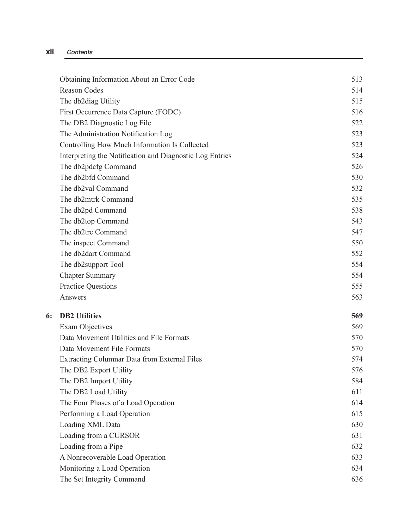| Obtaining Information About an Error Code                | 513 |
|----------------------------------------------------------|-----|
| Reason Codes                                             | 514 |
| The db2diag Utility                                      | 515 |
| First Occurrence Data Capture (FODC)                     | 516 |
| The DB2 Diagnostic Log File                              | 522 |
| The Administration Notification Log                      | 523 |
| Controlling How Much Information Is Collected            | 523 |
| Interpreting the Notification and Diagnostic Log Entries | 524 |
| The db2pdcfg Command                                     | 526 |
| The db2bfd Command                                       | 530 |
| The db2val Command                                       | 532 |
| The db2mtrk Command                                      | 535 |
| The db2pd Command                                        | 538 |
| The db2top Command                                       | 543 |
| The db2trc Command                                       | 547 |
| The inspect Command                                      | 550 |
| The db2dart Command                                      | 552 |
| The db2support Tool                                      | 554 |
| <b>Chapter Summary</b>                                   | 554 |
| <b>Practice Questions</b>                                | 555 |
| Answers                                                  | 563 |
| <b>DB2</b> Utilities                                     | 569 |
| <b>Exam Objectives</b>                                   | 569 |
| Data Movement Utilities and File Formats                 | 570 |
| Data Movement File Formats                               | 570 |
| Extracting Columnar Data from External Files             | 574 |
| The DB2 Export Utility                                   | 576 |
| The DB2 Import Utility                                   | 584 |
| The DB2 Load Utility                                     | 611 |
| The Four Phases of a Load Operation                      | 614 |
| Performing a Load Operation                              | 615 |
| Loading XML Data                                         | 630 |
| Loading from a CURSOR                                    | 631 |
| Loading from a Pipe                                      | 632 |
| A Nonrecoverable Load Operation                          | 633 |
| Monitoring a Load Operation                              | 634 |
| The Set Integrity Command                                | 636 |
|                                                          |     |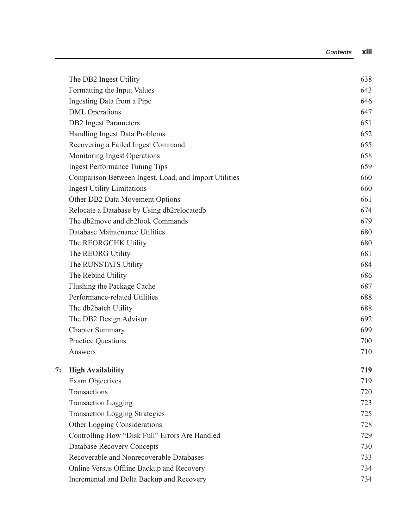|    | The DB2 Ingest Utility                                | 638 |
|----|-------------------------------------------------------|-----|
|    | Formatting the Input Values                           | 643 |
|    | Ingesting Data from a Pipe                            | 646 |
|    | <b>DML</b> Operations                                 | 647 |
|    | <b>DB2</b> Ingest Parameters                          | 651 |
|    | Handling Ingest Data Problems                         | 652 |
|    | Recovering a Failed Ingest Command                    | 655 |
|    | Monitoring Ingest Operations                          | 658 |
|    | <b>Ingest Performance Tuning Tips</b>                 | 659 |
|    | Comparison Between Ingest, Load, and Import Utilities | 660 |
|    | <b>Ingest Utility Limitations</b>                     | 660 |
|    | Other DB2 Data Movement Options                       | 661 |
|    | Relocate a Database by Using db2relocatedb            | 674 |
|    | The db2move and db2look Commands                      | 679 |
|    | Database Maintenance Utilities                        | 680 |
|    | The REORGCHK Utility                                  | 680 |
|    | The REORG Utility                                     | 681 |
|    | The RUNSTATS Utility                                  | 684 |
|    | The Rebind Utility                                    | 686 |
|    | Flushing the Package Cache                            | 687 |
|    | Performance-related Utilities                         | 688 |
|    | The db2batch Utility                                  | 688 |
|    | The DB2 Design Advisor                                | 692 |
|    | <b>Chapter Summary</b>                                | 699 |
|    | <b>Practice Questions</b>                             | 700 |
|    | Answers                                               | 710 |
| 7: | <b>High Availability</b>                              | 719 |
|    | <b>Exam Objectives</b>                                | 719 |
|    | Transactions                                          | 720 |
|    | <b>Transaction Logging</b>                            | 723 |
|    | <b>Transaction Logging Strategies</b>                 | 725 |
|    | Other Logging Considerations                          | 728 |
|    | Controlling How "Disk Full" Errors Are Handled        | 729 |
|    | <b>Database Recovery Concepts</b>                     | 730 |
|    | Recoverable and Nonrecoverable Databases              | 733 |
|    | Online Versus Offline Backup and Recovery             | 734 |
|    | Incremental and Delta Backup and Recovery             | 734 |

Contents xiii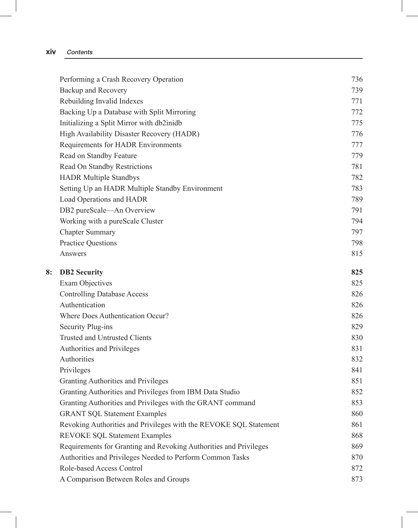### xiv Contents

|    | Performing a Crash Recovery Operation                             | 736 |
|----|-------------------------------------------------------------------|-----|
|    | Backup and Recovery                                               | 739 |
|    | Rebuilding Invalid Indexes                                        | 771 |
|    | Backing Up a Database with Split Mirroring                        | 772 |
|    | Initializing a Split Mirror with db2inidb                         | 775 |
|    | High Availability Disaster Recovery (HADR)                        | 776 |
|    | Requirements for HADR Environments                                | 777 |
|    | Read on Standby Feature                                           | 779 |
|    | Read On Standby Restrictions                                      | 781 |
|    | <b>HADR Multiple Standbys</b>                                     | 782 |
|    | Setting Up an HADR Multiple Standby Environment                   | 783 |
|    | Load Operations and HADR                                          | 789 |
|    | DB2 pureScale-An Overview                                         | 791 |
|    | Working with a pureScale Cluster                                  | 794 |
|    | <b>Chapter Summary</b>                                            | 797 |
|    | <b>Practice Questions</b>                                         | 798 |
|    | Answers                                                           | 815 |
| 8: | <b>DB2</b> Security                                               | 825 |
|    | <b>Exam Objectives</b>                                            | 825 |
|    | <b>Controlling Database Access</b>                                | 826 |
|    | Authentication                                                    | 826 |
|    | Where Does Authentication Occur?                                  | 826 |
|    | Security Plug-ins                                                 | 829 |
|    | Trusted and Untrusted Clients                                     | 830 |
|    | Authorities and Privileges                                        | 831 |
|    | Authorities                                                       | 832 |
|    | Privileges                                                        | 841 |
|    | Granting Authorities and Privileges                               | 851 |
|    | Granting Authorities and Privileges from IBM Data Studio          | 852 |
|    | Granting Authorities and Privileges with the GRANT command        | 853 |
|    | <b>GRANT SQL Statement Examples</b>                               | 860 |
|    | Revoking Authorities and Privileges with the REVOKE SQL Statement | 861 |
|    | REVOKE SQL Statement Examples                                     | 868 |
|    | Requirements for Granting and Revoking Authorities and Privileges | 869 |
|    | Authorities and Privileges Needed to Perform Common Tasks         | 870 |
|    | Role-based Access Control                                         | 872 |
|    | A Comparison Between Roles and Groups                             | 873 |
|    |                                                                   |     |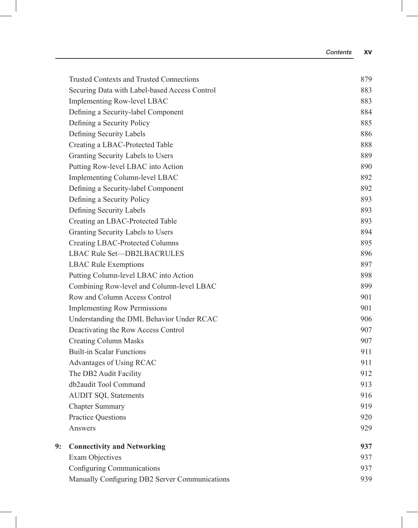|    | <b>Trusted Contexts and Trusted Connections</b> | 879 |
|----|-------------------------------------------------|-----|
|    | Securing Data with Label-based Access Control   | 883 |
|    | Implementing Row-level LBAC                     | 883 |
|    | Defining a Security-label Component             | 884 |
|    | Defining a Security Policy                      | 885 |
|    | Defining Security Labels                        | 886 |
|    | Creating a LBAC-Protected Table                 | 888 |
|    | Granting Security Labels to Users               | 889 |
|    | Putting Row-level LBAC into Action              | 890 |
|    | Implementing Column-level LBAC                  | 892 |
|    | Defining a Security-label Component             | 892 |
|    | Defining a Security Policy                      | 893 |
|    | Defining Security Labels                        | 893 |
|    | Creating an LBAC-Protected Table                | 893 |
|    | Granting Security Labels to Users               | 894 |
|    | <b>Creating LBAC-Protected Columns</b>          | 895 |
|    | <b>LBAC Rule Set-DB2LBACRULES</b>               | 896 |
|    | <b>LBAC Rule Exemptions</b>                     | 897 |
|    | Putting Column-level LBAC into Action           | 898 |
|    | Combining Row-level and Column-level LBAC       | 899 |
|    | Row and Column Access Control                   | 901 |
|    | <b>Implementing Row Permissions</b>             | 901 |
|    | Understanding the DML Behavior Under RCAC       | 906 |
|    | Deactivating the Row Access Control             | 907 |
|    | <b>Creating Column Masks</b>                    | 907 |
|    | <b>Built-in Scalar Functions</b>                | 911 |
|    | Advantages of Using RCAC                        | 911 |
|    | The DB2 Audit Facility                          | 912 |
|    | db2audit Tool Command                           | 913 |
|    | <b>AUDIT SQL Statements</b>                     | 916 |
|    | <b>Chapter Summary</b>                          | 919 |
|    | Practice Questions                              | 920 |
|    | Answers                                         | 929 |
| 9: | <b>Connectivity and Networking</b>              | 937 |
|    | <b>Exam Objectives</b>                          | 937 |
|    | Configuring Communications                      | 937 |
|    | Manually Configuring DB2 Server Communications  | 939 |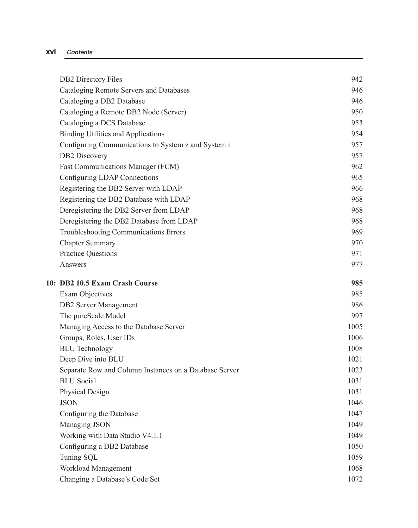#### xvi Contents

| <b>DB2</b> Directory Files                             | 942  |
|--------------------------------------------------------|------|
| Cataloging Remote Servers and Databases                | 946  |
| Cataloging a DB2 Database                              | 946  |
| Cataloging a Remote DB2 Node (Server)                  | 950  |
| Cataloging a DCS Database                              | 953  |
| <b>Binding Utilities and Applications</b>              | 954  |
| Configuring Communications to System z and System i    | 957  |
| DB2 Discovery                                          | 957  |
| Fast Communications Manager (FCM)                      | 962  |
| Configuring LDAP Connections                           | 965  |
| Registering the DB2 Server with LDAP                   | 966  |
| Registering the DB2 Database with LDAP                 | 968  |
| Deregistering the DB2 Server from LDAP                 | 968  |
| Deregistering the DB2 Database from LDAP               | 968  |
| Troubleshooting Communications Errors                  | 969  |
| <b>Chapter Summary</b>                                 | 970  |
| <b>Practice Questions</b>                              | 971  |
| Answers                                                | 977  |
| 10: DB2 10.5 Exam Crash Course                         | 985  |
| Exam Objectives                                        | 985  |
| <b>DB2</b> Server Management                           | 986  |
| The pureScale Model                                    | 997  |
| Managing Access to the Database Server                 | 1005 |
| Groups, Roles, User IDs                                | 1006 |
| <b>BLU</b> Technology                                  | 1008 |
| Deep Dive into BLU                                     | 1021 |
| Separate Row and Column Instances on a Database Server | 1023 |
| <b>BLU</b> Social                                      |      |
|                                                        | 1031 |
| Physical Design                                        | 1031 |
| <b>JSON</b>                                            | 1046 |
| Configuring the Database                               | 1047 |
| Managing JSON                                          | 1049 |
| Working with Data Studio V4.1.1                        | 1049 |
| Configuring a DB2 Database                             | 1050 |
| Tuning SQL                                             | 1059 |
| Workload Management                                    | 1068 |